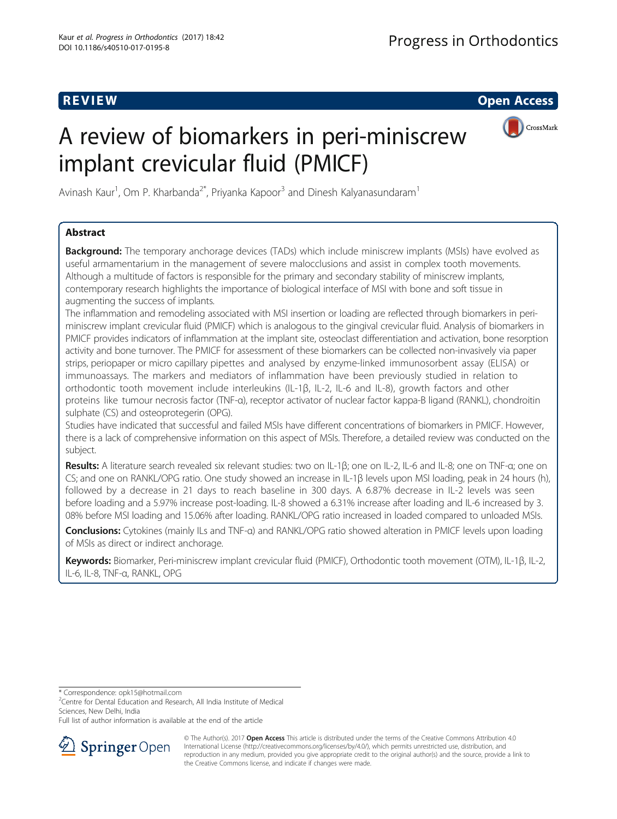R EVI EW Open Access

# A review of biomarkers in peri-miniscrew implant crevicular fluid (PMICF)



Avinash Kaur<sup>1</sup>, Om P. Kharbanda<sup>2\*</sup>, Priyanka Kapoor<sup>3</sup> and Dinesh Kalyanasundaram<sup>1</sup>

## Abstract

**Background:** The temporary anchorage devices (TADs) which include miniscrew implants (MSIs) have evolved as useful armamentarium in the management of severe malocclusions and assist in complex tooth movements. Although a multitude of factors is responsible for the primary and secondary stability of miniscrew implants, contemporary research highlights the importance of biological interface of MSI with bone and soft tissue in augmenting the success of implants.

The inflammation and remodeling associated with MSI insertion or loading are reflected through biomarkers in periminiscrew implant crevicular fluid (PMICF) which is analogous to the gingival crevicular fluid. Analysis of biomarkers in PMICF provides indicators of inflammation at the implant site, osteoclast differentiation and activation, bone resorption activity and bone turnover. The PMICF for assessment of these biomarkers can be collected non-invasively via paper strips, periopaper or micro capillary pipettes and analysed by enzyme-linked immunosorbent assay (ELISA) or immunoassays. The markers and mediators of inflammation have been previously studied in relation to orthodontic tooth movement include interleukins (IL-1β, IL-2, IL-6 and IL-8), growth factors and other proteins like tumour necrosis factor (TNF-α), receptor activator of nuclear factor kappa-B ligand (RANKL), chondroitin sulphate (CS) and osteoprotegerin (OPG).

Studies have indicated that successful and failed MSIs have different concentrations of biomarkers in PMICF. However, there is a lack of comprehensive information on this aspect of MSIs. Therefore, a detailed review was conducted on the subject.

Results: A literature search revealed six relevant studies: two on IL-1β; one on IL-2, IL-6 and IL-8; one on TNF-α; one on CS; and one on RANKL/OPG ratio. One study showed an increase in IL-1β levels upon MSI loading, peak in 24 hours (h), followed by a decrease in 21 days to reach baseline in 300 days. A 6.87% decrease in IL-2 levels was seen before loading and a 5.97% increase post-loading. IL-8 showed a 6.31% increase after loading and IL-6 increased by 3. 08% before MSI loading and 15.06% after loading. RANKL/OPG ratio increased in loaded compared to unloaded MSIs.

Conclusions: Cytokines (mainly ILs and TNF-α) and RANKL/OPG ratio showed alteration in PMICF levels upon loading of MSIs as direct or indirect anchorage.

Keywords: Biomarker, Peri-miniscrew implant crevicular fluid (PMICF), Orthodontic tooth movement (OTM), IL-1β, IL-2, IL-6, IL-8, TNF-α, RANKL, OPG

\* Correspondence: [opk15@hotmail.com](mailto:opk15@hotmail.com) <sup>2</sup>

<sup>2</sup> Centre for Dental Education and Research, All India Institute of Medical Sciences, New Delhi, India

Full list of author information is available at the end of the article



© The Author(s). 2017 **Open Access** This article is distributed under the terms of the Creative Commons Attribution 4.0 International License ([http://creativecommons.org/licenses/by/4.0/\)](http://creativecommons.org/licenses/by/4.0/), which permits unrestricted use, distribution, and reproduction in any medium, provided you give appropriate credit to the original author(s) and the source, provide a link to the Creative Commons license, and indicate if changes were made.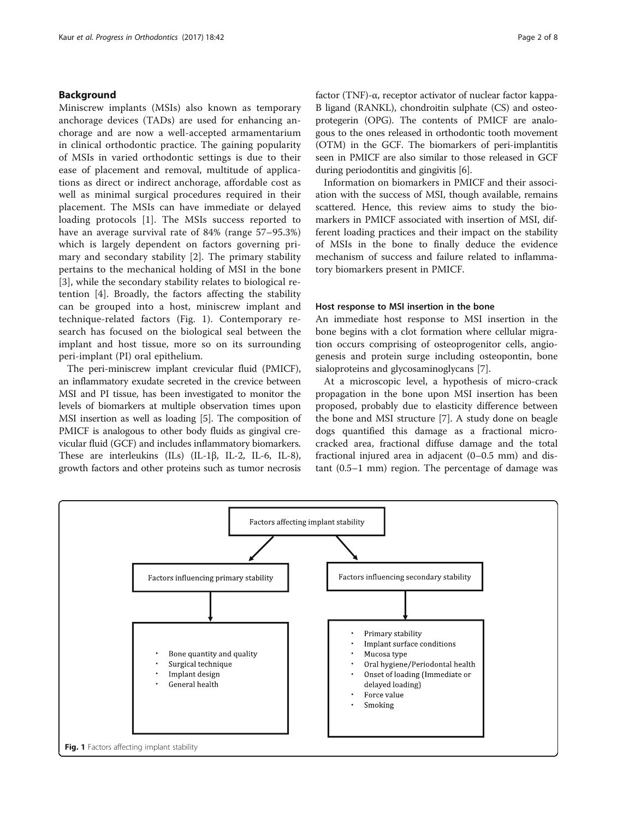## Background

Miniscrew implants (MSIs) also known as temporary anchorage devices (TADs) are used for enhancing anchorage and are now a well-accepted armamentarium in clinical orthodontic practice. The gaining popularity of MSIs in varied orthodontic settings is due to their ease of placement and removal, multitude of applications as direct or indirect anchorage, affordable cost as well as minimal surgical procedures required in their placement. The MSIs can have immediate or delayed loading protocols [\[1](#page-6-0)]. The MSIs success reported to have an average survival rate of 84% (range 57–95.3%) which is largely dependent on factors governing primary and secondary stability [\[2](#page-7-0)]. The primary stability pertains to the mechanical holding of MSI in the bone [[3\]](#page-7-0), while the secondary stability relates to biological retention [[4\]](#page-7-0). Broadly, the factors affecting the stability can be grouped into a host, miniscrew implant and technique-related factors (Fig. 1). Contemporary research has focused on the biological seal between the implant and host tissue, more so on its surrounding peri-implant (PI) oral epithelium.

The peri-miniscrew implant crevicular fluid (PMICF), an inflammatory exudate secreted in the crevice between MSI and PI tissue, has been investigated to monitor the levels of biomarkers at multiple observation times upon MSI insertion as well as loading [\[5\]](#page-7-0). The composition of PMICF is analogous to other body fluids as gingival crevicular fluid (GCF) and includes inflammatory biomarkers. These are interleukins (ILs) (IL-1β, IL-2, IL-6, IL-8), growth factors and other proteins such as tumor necrosis factor (TNF)-α, receptor activator of nuclear factor kappa-B ligand (RANKL), chondroitin sulphate (CS) and osteoprotegerin (OPG). The contents of PMICF are analogous to the ones released in orthodontic tooth movement (OTM) in the GCF. The biomarkers of peri-implantitis seen in PMICF are also similar to those released in GCF during periodontitis and gingivitis [[6\]](#page-7-0).

Information on biomarkers in PMICF and their association with the success of MSI, though available, remains scattered. Hence, this review aims to study the biomarkers in PMICF associated with insertion of MSI, different loading practices and their impact on the stability of MSIs in the bone to finally deduce the evidence mechanism of success and failure related to inflammatory biomarkers present in PMICF.

#### Host response to MSI insertion in the bone

An immediate host response to MSI insertion in the bone begins with a clot formation where cellular migration occurs comprising of osteoprogenitor cells, angiogenesis and protein surge including osteopontin, bone sialoproteins and glycosaminoglycans [[7\]](#page-7-0).

At a microscopic level, a hypothesis of micro-crack propagation in the bone upon MSI insertion has been proposed, probably due to elasticity difference between the bone and MSI structure [[7\]](#page-7-0). A study done on beagle dogs quantified this damage as a fractional microcracked area, fractional diffuse damage and the total fractional injured area in adjacent (0–0.5 mm) and distant (0.5–1 mm) region. The percentage of damage was

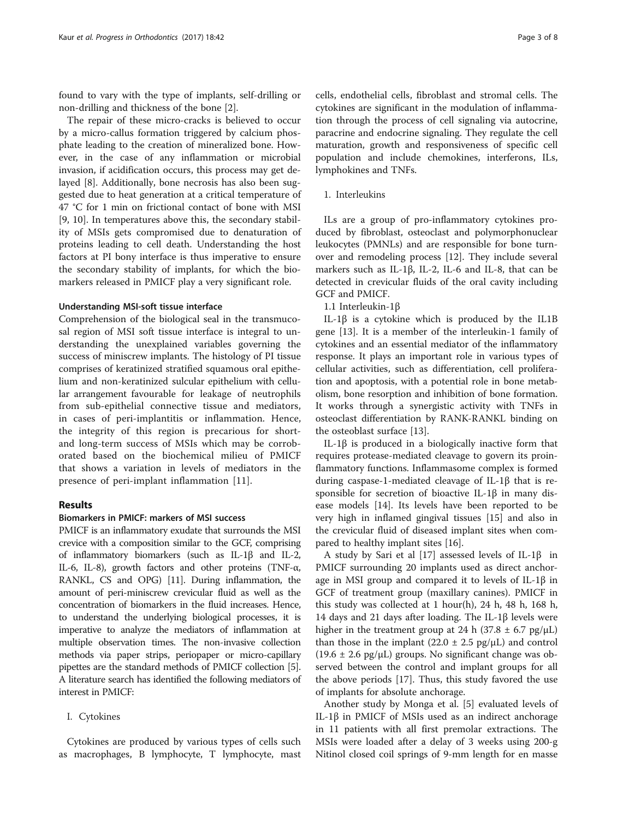found to vary with the type of implants, self-drilling or non-drilling and thickness of the bone [[2\]](#page-7-0).

The repair of these micro-cracks is believed to occur by a micro-callus formation triggered by calcium phosphate leading to the creation of mineralized bone. However, in the case of any inflammation or microbial invasion, if acidification occurs, this process may get delayed [\[8](#page-7-0)]. Additionally, bone necrosis has also been suggested due to heat generation at a critical temperature of 47 °C for 1 min on frictional contact of bone with MSI [[9, 10](#page-7-0)]. In temperatures above this, the secondary stability of MSIs gets compromised due to denaturation of proteins leading to cell death. Understanding the host factors at PI bony interface is thus imperative to ensure the secondary stability of implants, for which the biomarkers released in PMICF play a very significant role.

## Understanding MSI-soft tissue interface

Comprehension of the biological seal in the transmucosal region of MSI soft tissue interface is integral to understanding the unexplained variables governing the success of miniscrew implants. The histology of PI tissue comprises of keratinized stratified squamous oral epithelium and non-keratinized sulcular epithelium with cellular arrangement favourable for leakage of neutrophils from sub-epithelial connective tissue and mediators, in cases of peri-implantitis or inflammation. Hence, the integrity of this region is precarious for shortand long-term success of MSIs which may be corroborated based on the biochemical milieu of PMICF that shows a variation in levels of mediators in the presence of peri-implant inflammation [[11](#page-7-0)].

## Results

## Biomarkers in PMICF: markers of MSI success

PMICF is an inflammatory exudate that surrounds the MSI crevice with a composition similar to the GCF, comprising of inflammatory biomarkers (such as IL-1β and IL-2, IL-6, IL-8), growth factors and other proteins (TNF- $\alpha$ , RANKL, CS and OPG) [[11](#page-7-0)]. During inflammation, the amount of peri-miniscrew crevicular fluid as well as the concentration of biomarkers in the fluid increases. Hence, to understand the underlying biological processes, it is imperative to analyze the mediators of inflammation at multiple observation times. The non-invasive collection methods via paper strips, periopaper or micro-capillary pipettes are the standard methods of PMICF collection [[5](#page-7-0)]. A literature search has identified the following mediators of interest in PMICF:

## I. Cytokines

Cytokines are produced by various types of cells such as macrophages, B lymphocyte, T lymphocyte, mast

cells, endothelial cells, fibroblast and stromal cells. The cytokines are significant in the modulation of inflammation through the process of cell signaling via autocrine, paracrine and endocrine signaling. They regulate the cell maturation, growth and responsiveness of specific cell population and include chemokines, interferons, ILs, lymphokines and TNFs.

1. Interleukins

ILs are a group of pro-inflammatory cytokines produced by fibroblast, osteoclast and polymorphonuclear leukocytes (PMNLs) and are responsible for bone turnover and remodeling process [\[12](#page-7-0)]. They include several markers such as IL-1β, IL-2, IL-6 and IL-8, that can be detected in crevicular fluids of the oral cavity including GCF and PMICF.

1.1 Interleukin-1β

IL-1β is a cytokine which is produced by the IL1B gene [[13](#page-7-0)]. It is a member of the interleukin-1 family of cytokines and an essential mediator of the inflammatory response. It plays an important role in various types of cellular activities, such as differentiation, cell proliferation and apoptosis, with a potential role in bone metabolism, bone resorption and inhibition of bone formation. It works through a synergistic activity with TNFs in osteoclast differentiation by RANK-RANKL binding on the osteoblast surface [\[13](#page-7-0)].

IL-1β is produced in a biologically inactive form that requires protease-mediated cleavage to govern its proinflammatory functions. Inflammasome complex is formed during caspase-1-mediated cleavage of IL-1β that is responsible for secretion of bioactive IL-1β in many disease models [\[14](#page-7-0)]. Its levels have been reported to be very high in inflamed gingival tissues [[15](#page-7-0)] and also in the crevicular fluid of diseased implant sites when compared to healthy implant sites [[16](#page-7-0)].

A study by Sari et al [[17\]](#page-7-0) assessed levels of IL-1β in PMICF surrounding 20 implants used as direct anchorage in MSI group and compared it to levels of IL-1β in GCF of treatment group (maxillary canines). PMICF in this study was collected at 1 hour(h), 24 h, 48 h, 168 h, 14 days and 21 days after loading. The IL-1β levels were higher in the treatment group at 24 h (37.8  $\pm$  6.7 pg/ $\mu$ L) than those in the implant (22.0  $\pm$  2.5 pg/ $\mu$ L) and control  $(19.6 \pm 2.6 \text{ pg/µL})$  groups. No significant change was observed between the control and implant groups for all the above periods [\[17](#page-7-0)]. Thus, this study favored the use of implants for absolute anchorage.

Another study by Monga et al. [\[5\]](#page-7-0) evaluated levels of IL-1β in PMICF of MSIs used as an indirect anchorage in 11 patients with all first premolar extractions. The MSIs were loaded after a delay of 3 weeks using 200-g Nitinol closed coil springs of 9-mm length for en masse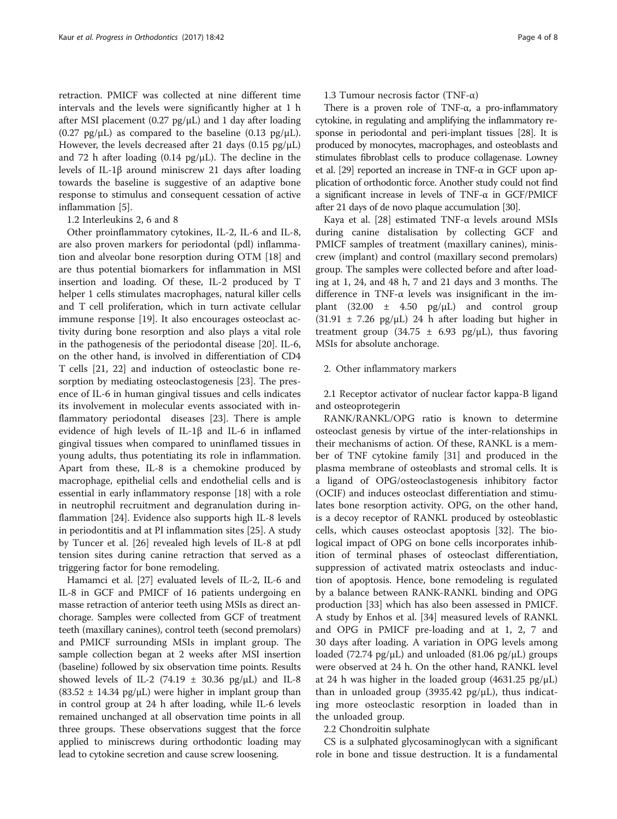retraction. PMICF was collected at nine different time intervals and the levels were significantly higher at 1 h after MSI placement (0.27  $pg/µL$ ) and 1 day after loading  $(0.27 \text{ pg/µL})$  as compared to the baseline  $(0.13 \text{ pg/µL})$ . However, the levels decreased after 21 days (0.15  $pg/\mu L$ ) and 72 h after loading  $(0.14 \text{ pg/µL})$ . The decline in the levels of IL-1β around miniscrew 21 days after loading towards the baseline is suggestive of an adaptive bone response to stimulus and consequent cessation of active inflammation [[5\]](#page-7-0).

1.2 Interleukins 2, 6 and 8

Other proinflammatory cytokines, IL-2, IL-6 and IL-8, are also proven markers for periodontal (pdl) inflammation and alveolar bone resorption during OTM [\[18\]](#page-7-0) and are thus potential biomarkers for inflammation in MSI insertion and loading. Of these, IL-2 produced by T helper 1 cells stimulates macrophages, natural killer cells and T cell proliferation, which in turn activate cellular immune response [\[19\]](#page-7-0). It also encourages osteoclast activity during bone resorption and also plays a vital role in the pathogenesis of the periodontal disease [[20](#page-7-0)]. IL-6, on the other hand, is involved in differentiation of CD4 T cells [\[21](#page-7-0), [22\]](#page-7-0) and induction of osteoclastic bone resorption by mediating osteoclastogenesis [[23\]](#page-7-0). The presence of IL-6 in human gingival tissues and cells indicates its involvement in molecular events associated with inflammatory periodontal diseases [[23](#page-7-0)]. There is ample evidence of high levels of IL-1β and IL-6 in inflamed gingival tissues when compared to uninflamed tissues in young adults, thus potentiating its role in inflammation. Apart from these, IL-8 is a chemokine produced by macrophage, epithelial cells and endothelial cells and is essential in early inflammatory response [\[18](#page-7-0)] with a role in neutrophil recruitment and degranulation during inflammation [\[24\]](#page-7-0). Evidence also supports high IL-8 levels in periodontitis and at PI inflammation sites [\[25](#page-7-0)]. A study by Tuncer et al. [\[26\]](#page-7-0) revealed high levels of IL-8 at pdl tension sites during canine retraction that served as a triggering factor for bone remodeling.

Hamamci et al. [\[27\]](#page-7-0) evaluated levels of IL-2, IL-6 and IL-8 in GCF and PMICF of 16 patients undergoing en masse retraction of anterior teeth using MSIs as direct anchorage. Samples were collected from GCF of treatment teeth (maxillary canines), control teeth (second premolars) and PMICF surrounding MSIs in implant group. The sample collection began at 2 weeks after MSI insertion (baseline) followed by six observation time points. Results showed levels of IL-2 (74.19  $\pm$  30.36 pg/ $\mu$ L) and IL-8  $(83.52 \pm 14.34 \text{ pg/µL})$  were higher in implant group than in control group at 24 h after loading, while IL-6 levels remained unchanged at all observation time points in all three groups. These observations suggest that the force applied to miniscrews during orthodontic loading may lead to cytokine secretion and cause screw loosening.

1.3 Tumour necrosis factor (TNF-α)

There is a proven role of TNF- $\alpha$ , a pro-inflammatory cytokine, in regulating and amplifying the inflammatory response in periodontal and peri-implant tissues [[28](#page-7-0)]. It is produced by monocytes, macrophages, and osteoblasts and stimulates fibroblast cells to produce collagenase. Lowney et al. [[29](#page-7-0)] reported an increase in TNF-α in GCF upon application of orthodontic force. Another study could not find a significant increase in levels of TNF-α in GCF/PMICF after 21 days of de novo plaque accumulation [\[30](#page-7-0)].

Kaya et al. [[28\]](#page-7-0) estimated TNF-α levels around MSIs during canine distalisation by collecting GCF and PMICF samples of treatment (maxillary canines), miniscrew (implant) and control (maxillary second premolars) group. The samples were collected before and after loading at 1, 24, and 48 h, 7 and 21 days and 3 months. The difference in TNF-α levels was insignificant in the implant (32.00  $\pm$  4.50 pg/ $\mu$ L) and control group  $(31.91 \pm 7.26 \text{ pg/µL})$  24 h after loading but higher in treatment group (34.75  $\pm$  6.93 pg/ $\mu$ L), thus favoring MSIs for absolute anchorage.

#### 2. Other inflammatory markers

2.1 Receptor activator of nuclear factor kappa-B ligand and osteoprotegerin

RANK/RANKL/OPG ratio is known to determine osteoclast genesis by virtue of the inter-relationships in their mechanisms of action. Of these, RANKL is a member of TNF cytokine family [[31](#page-7-0)] and produced in the plasma membrane of osteoblasts and stromal cells. It is a ligand of OPG/osteoclastogenesis inhibitory factor (OCIF) and induces osteoclast differentiation and stimulates bone resorption activity. OPG, on the other hand, is a decoy receptor of RANKL produced by osteoblastic cells, which causes osteoclast apoptosis [\[32\]](#page-7-0). The biological impact of OPG on bone cells incorporates inhibition of terminal phases of osteoclast differentiation, suppression of activated matrix osteoclasts and induction of apoptosis. Hence, bone remodeling is regulated by a balance between RANK-RANKL binding and OPG production [\[33](#page-7-0)] which has also been assessed in PMICF. A study by Enhos et al. [\[34\]](#page-7-0) measured levels of RANKL and OPG in PMICF pre-loading and at 1, 2, 7 and 30 days after loading. A variation in OPG levels among loaded (72.74 pg/μL) and unloaded (81.06 pg/μL) groups were observed at 24 h. On the other hand, RANKL level at 24 h was higher in the loaded group  $(4631.25 \text{ pg/µL})$ than in unloaded group (3935.42 pg/ $\mu$ L), thus indicating more osteoclastic resorption in loaded than in the unloaded group.

## 2.2 Chondroitin sulphate

CS is a sulphated glycosaminoglycan with a significant role in bone and tissue destruction. It is a fundamental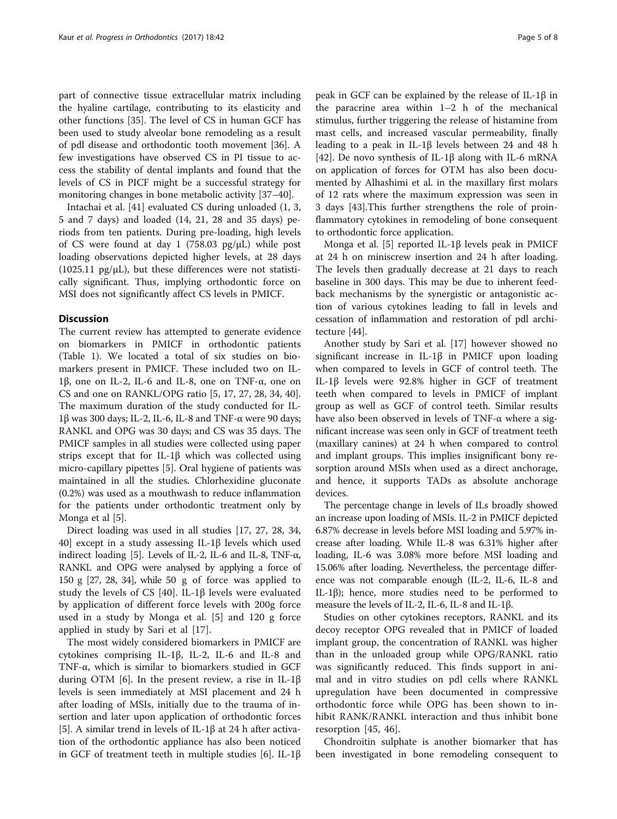part of connective tissue extracellular matrix including the hyaline cartilage, contributing to its elasticity and other functions [\[35\]](#page-7-0). The level of CS in human GCF has been used to study alveolar bone remodeling as a result of pdl disease and orthodontic tooth movement [[36](#page-7-0)]. A few investigations have observed CS in PI tissue to access the stability of dental implants and found that the levels of CS in PICF might be a successful strategy for monitoring changes in bone metabolic activity [[37](#page-7-0)–[40](#page-7-0)].

Intachai et al. [[41\]](#page-7-0) evaluated CS during unloaded (1, 3, 5 and 7 days) and loaded (14, 21, 28 and 35 days) periods from ten patients. During pre-loading, high levels of CS were found at day 1 (758.03  $pg/µL$ ) while post loading observations depicted higher levels, at 28 days (1025.11  $pg/\mu L$ ), but these differences were not statistically significant. Thus, implying orthodontic force on MSI does not significantly affect CS levels in PMICF.

## **Discussion**

The current review has attempted to generate evidence on biomarkers in PMICF in orthodontic patients (Table [1\)](#page-5-0). We located a total of six studies on biomarkers present in PMICF. These included two on IL-1β, one on IL-2, IL-6 and IL-8, one on TNF-α, one on CS and one on RANKL/OPG ratio [[5, 17](#page-7-0), [27](#page-7-0), [28](#page-7-0), [34](#page-7-0), [40](#page-7-0)]. The maximum duration of the study conducted for IL-1β was 300 days; IL-2, IL-6, IL-8 and TNF-α were 90 days; RANKL and OPG was 30 days; and CS was 35 days. The PMICF samples in all studies were collected using paper strips except that for IL-1β which was collected using micro-capillary pipettes [[5\]](#page-7-0). Oral hygiene of patients was maintained in all the studies. Chlorhexidine gluconate (0.2%) was used as a mouthwash to reduce inflammation for the patients under orthodontic treatment only by Monga et al [[5\]](#page-7-0).

Direct loading was used in all studies [[17, 27](#page-7-0), [28](#page-7-0), [34](#page-7-0), [40\]](#page-7-0) except in a study assessing IL-1β levels which used indirect loading [[5\]](#page-7-0). Levels of IL-2, IL-6 and IL-8, TNF-α, RANKL and OPG were analysed by applying a force of 150 g [\[27, 28](#page-7-0), [34\]](#page-7-0), while 50 g of force was applied to study the levels of CS [\[40](#page-7-0)]. IL-1β levels were evaluated by application of different force levels with 200g force used in a study by Monga et al. [[5\]](#page-7-0) and 120 g force applied in study by Sari et al [[17\]](#page-7-0).

The most widely considered biomarkers in PMICF are cytokines comprising IL-1β, IL-2, IL-6 and IL-8 and TNF-α, which is similar to biomarkers studied in GCF during OTM [\[6](#page-7-0)]. In the present review, a rise in IL-1β levels is seen immediately at MSI placement and 24 h after loading of MSIs, initially due to the trauma of insertion and later upon application of orthodontic forces [[5\]](#page-7-0). A similar trend in levels of IL-1β at 24 h after activation of the orthodontic appliance has also been noticed in GCF of treatment teeth in multiple studies [\[6](#page-7-0)]. IL-1β peak in GCF can be explained by the release of IL-1β in the paracrine area within 1–2 h of the mechanical stimulus, further triggering the release of histamine from mast cells, and increased vascular permeability, finally leading to a peak in IL-1β levels between 24 and 48 h [[42\]](#page-7-0). De novo synthesis of IL-1β along with IL-6 mRNA on application of forces for OTM has also been documented by Alhashimi et al. in the maxillary first molars of 12 rats where the maximum expression was seen in 3 days [[43\]](#page-7-0).This further strengthens the role of proinflammatory cytokines in remodeling of bone consequent to orthodontic force application.

Monga et al. [\[5](#page-7-0)] reported IL-1β levels peak in PMICF at 24 h on miniscrew insertion and 24 h after loading. The levels then gradually decrease at 21 days to reach baseline in 300 days. This may be due to inherent feedback mechanisms by the synergistic or antagonistic action of various cytokines leading to fall in levels and cessation of inflammation and restoration of pdl architecture [\[44](#page-7-0)].

Another study by Sari et al. [[17\]](#page-7-0) however showed no significant increase in IL-1β in PMICF upon loading when compared to levels in GCF of control teeth. The IL-1β levels were 92.8% higher in GCF of treatment teeth when compared to levels in PMICF of implant group as well as GCF of control teeth. Similar results have also been observed in levels of TNF-α where a significant increase was seen only in GCF of treatment teeth (maxillary canines) at 24 h when compared to control and implant groups. This implies insignificant bony resorption around MSIs when used as a direct anchorage, and hence, it supports TADs as absolute anchorage devices.

The percentage change in levels of ILs broadly showed an increase upon loading of MSIs. IL-2 in PMICF depicted 6.87% decrease in levels before MSI loading and 5.97% increase after loading. While IL-8 was 6.31% higher after loading, IL-6 was 3.08% more before MSI loading and 15.06% after loading. Nevertheless, the percentage difference was not comparable enough (IL-2, IL-6, IL-8 and IL-1β); hence, more studies need to be performed to measure the levels of IL-2, IL-6, IL-8 and IL-1β.

Studies on other cytokines receptors, RANKL and its decoy receptor OPG revealed that in PMICF of loaded implant group, the concentration of RANKL was higher than in the unloaded group while OPG/RANKL ratio was significantly reduced. This finds support in animal and in vitro studies on pdl cells where RANKL upregulation have been documented in compressive orthodontic force while OPG has been shown to inhibit RANK/RANKL interaction and thus inhibit bone resorption [[45, 46](#page-7-0)].

Chondroitin sulphate is another biomarker that has been investigated in bone remodeling consequent to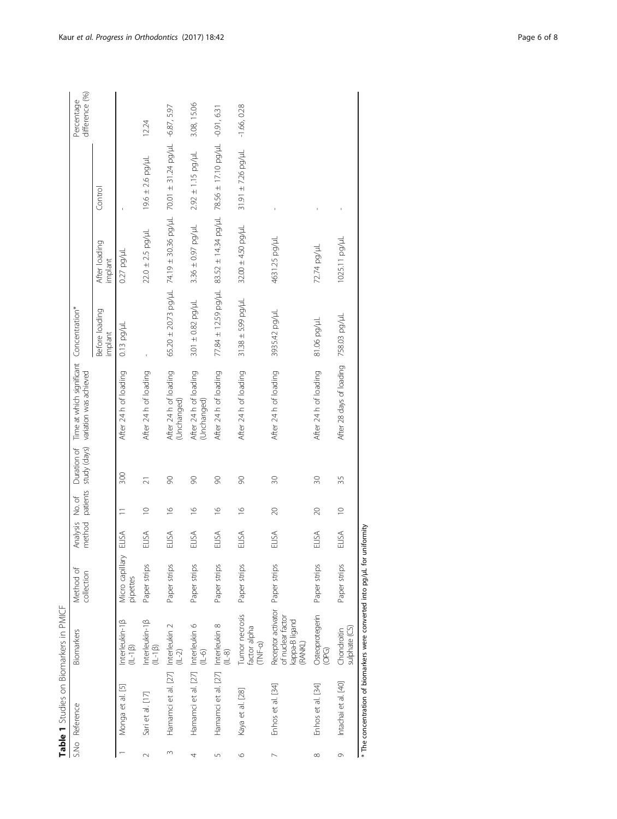| ί       |
|---------|
|         |
|         |
| ءِ<br>ن |
| č<br>I  |
|         |
| I       |

|         | S.No Reference                                                  | <b>Biomarkers</b>                                                    | Method of<br>collection     | method<br>Analysis | patients<br>No. of      | Duration of    | Time at which significant Concentration*<br>study (days) variation was achieved |                                                 |                          |                                        | difference (%)<br>Percentage |
|---------|-----------------------------------------------------------------|----------------------------------------------------------------------|-----------------------------|--------------------|-------------------------|----------------|---------------------------------------------------------------------------------|-------------------------------------------------|--------------------------|----------------------------------------|------------------------------|
|         |                                                                 |                                                                      |                             |                    |                         |                |                                                                                 | Before loading<br>implant                       | After loading<br>implant | Control                                |                              |
|         | Monga et al. [5]                                                | Interleukin-1 <sub>B</sub><br>$(1L-1)\beta$                          | Micro capillary<br>pipettes | ELISA              |                         | 300            | After 24 h of loading                                                           | $0.13$ pg/ $\mu$                                | $0.27$ pg/ $\mu$ L       |                                        |                              |
|         | Sari et al. [17]                                                | $Interleukin-1\beta$<br>$(1L-1\beta)$                                | Paper strips                | ELISA              | $\supseteq$             | $\overline{2}$ | After 24 h of loading                                                           |                                                 | $22.0 \pm 2.5$ pg/µL     | $19.6 \pm 2.6$ pg/µL                   | 12.24                        |
| 3       | Hamamci et al. [27] Interleukin 2                               | $(1 - 2)$                                                            | Paper strips                | ELISA              | $\frac{8}{1}$           | $\infty$       | After 24 h of loading<br>(Unchanged)                                            | $65.20 \pm 20.73$ pg/ul 74.19 $\pm$ 30.36 pg/ul |                          | 70.01 ± 31.24 pg/uL -6.87, 5.97        |                              |
| 4       | Hamamci et al. [27] Interleukin 6                               | $(1 - 6)$                                                            | Paper strips                | ELISA              | $\frac{6}{2}$           | 90             | After 24 h of loading<br>(Unchanged)                                            | $3.01 \pm 0.82$ pg/µL                           | $3.36 \pm 0.97$ pg/µL    | $2.92 \pm 1.15$ pg/µL                  | 3.08, 15.06                  |
| 5       | Hamamci et al. [27] Interleukin 8                               | $(1 - 8)$                                                            | Paper strips                | ELISA              | $\frac{\infty}{\infty}$ | 90             | After 24 h of loading                                                           | 77.84 ± 12.59 pg/µL                             | $83.52 \pm 14.34$ pg/uL  | $78.56 \pm 17.10$ pg/ul $-0.91$ , 6.31 |                              |
| $\circ$ | Kaya et al. [28]                                                | Tumor necrosis<br>factor alpha<br>TNF-a)                             | Paper strips                | ELISA              | $\frac{\infty}{\infty}$ | $\infty$       | After 24 h of loading                                                           | $31.38 \pm 5.99$ pg/ $\mu$ L                    | $32.00 \pm 4.50$ pg/µL   | $31.91 \pm 7.26$ pg/µL                 | $-1.66, 0.28$                |
|         | Enhos et al. [34]                                               | Receptor activator<br>of nuclear factor<br>kappa-B ligand<br>(RANKL) | Paper strips                | ELISA              | $\approx$               | 30             | After 24 h of loading                                                           | 3935.42 pg/µL                                   | 4631.25 pg/µL            |                                        |                              |
| ∞       | Enhos et al. [34]                                               | Osteoprotegerin<br>Geo                                               | Paper strips                | ELISA              | $\approx$               | $\approx$      | After 24 h of loading                                                           | 81.06 рд/µL                                     | 72.74 pg/µL              |                                        |                              |
| 0       | Intachai et al. [40]                                            | sulphate (CS)<br>Chondroitin                                         | Paper strips                | ELISA              | $\supseteq$             | 35             | After 28 days of loading                                                        | 758.03 pg/µL                                    | 1025.11 pg/µL            |                                        |                              |
|         | * The concentration of biomarkers were converted into pg/µL for |                                                                      |                             | uniformity         |                         |                |                                                                                 |                                                 |                          |                                        |                              |

<span id="page-5-0"></span>Kaur et al. Progress in Orthodontics (2017) 18:42 et al. Page 6 of 8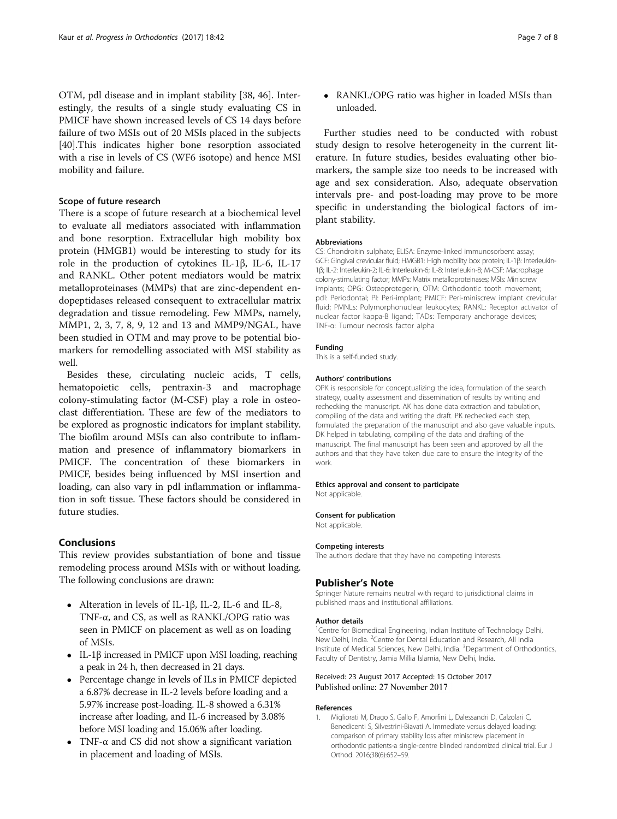<span id="page-6-0"></span>OTM, pdl disease and in implant stability [\[38, 46\]](#page-7-0). Interestingly, the results of a single study evaluating CS in PMICF have shown increased levels of CS 14 days before failure of two MSIs out of 20 MSIs placed in the subjects [[40\]](#page-7-0).This indicates higher bone resorption associated with a rise in levels of CS (WF6 isotope) and hence MSI mobility and failure.

#### Scope of future research

There is a scope of future research at a biochemical level to evaluate all mediators associated with inflammation and bone resorption. Extracellular high mobility box protein (HMGB1) would be interesting to study for its role in the production of cytokines IL-1β, IL-6, IL-17 and RANKL. Other potent mediators would be matrix metalloproteinases (MMPs) that are zinc-dependent endopeptidases released consequent to extracellular matrix degradation and tissue remodeling. Few MMPs, namely, MMP1, 2, 3, 7, 8, 9, 12 and 13 and MMP9/NGAL, have been studied in OTM and may prove to be potential biomarkers for remodelling associated with MSI stability as well.

Besides these, circulating nucleic acids, T cells, hematopoietic cells, pentraxin-3 and macrophage colony-stimulating factor (M-CSF) play a role in osteoclast differentiation. These are few of the mediators to be explored as prognostic indicators for implant stability. The biofilm around MSIs can also contribute to inflammation and presence of inflammatory biomarkers in PMICF. The concentration of these biomarkers in PMICF, besides being influenced by MSI insertion and loading, can also vary in pdl inflammation or inflammation in soft tissue. These factors should be considered in future studies.

## Conclusions

This review provides substantiation of bone and tissue remodeling process around MSIs with or without loading. The following conclusions are drawn:

- Alteration in levels of IL-1β, IL-2, IL-6 and IL-8, TNF- $\alpha$ , and CS, as well as RANKL/OPG ratio was seen in PMICF on placement as well as on loading of MSIs.
- IL-1β increased in PMICF upon MSI loading, reaching a peak in 24 h, then decreased in 21 days.
- Percentage change in levels of ILs in PMICF depicted a 6.87% decrease in IL-2 levels before loading and a 5.97% increase post-loading. IL-8 showed a 6.31% increase after loading, and IL-6 increased by 3.08% before MSI loading and 15.06% after loading.
- TNF- $\alpha$  and CS did not show a significant variation in placement and loading of MSIs.

 RANKL/OPG ratio was higher in loaded MSIs than unloaded.

Further studies need to be conducted with robust study design to resolve heterogeneity in the current literature. In future studies, besides evaluating other biomarkers, the sample size too needs to be increased with age and sex consideration. Also, adequate observation intervals pre- and post-loading may prove to be more specific in understanding the biological factors of implant stability.

#### **Abbreviations**

CS: Chondroitin sulphate; ELISA: Enzyme-linked immunosorbent assay; GCF: Gingival crevicular fluid; HMGB1: High mobility box protein; IL-1β: Interleukin-1β; IL-2: Interleukin-2; IL-6: Interleukin-6; IL-8: Interleukin-8; M-CSF: Macrophage colony-stimulating factor; MMPs: Matrix metalloproteinases; MSIs: Miniscrew implants; OPG: Osteoprotegerin; OTM: Orthodontic tooth movement; pdl: Periodontal; PI: Peri-implant; PMICF: Peri-miniscrew implant crevicular fluid; PMNLs: Polymorphonuclear leukocytes; RANKL: Receptor activator of nuclear factor kappa-B ligand; TADs: Temporary anchorage devices; TNF-α: Tumour necrosis factor alpha

#### Funding

This is a self-funded study.

#### Authors' contributions

OPK is responsible for conceptualizing the idea, formulation of the search strategy, quality assessment and dissemination of results by writing and rechecking the manuscript. AK has done data extraction and tabulation, compiling of the data and writing the draft. PK rechecked each step, formulated the preparation of the manuscript and also gave valuable inputs. DK helped in tabulating, compiling of the data and drafting of the manuscript. The final manuscript has been seen and approved by all the authors and that they have taken due care to ensure the integrity of the work.

#### Ethics approval and consent to participate

Not applicable.

#### Consent for publication

Not applicable.

## Competing interests

The authors declare that they have no competing interests.

#### Publisher's Note

Springer Nature remains neutral with regard to jurisdictional claims in published maps and institutional affiliations.

#### Author details

<sup>1</sup> Centre for Biomedical Engineering, Indian Institute of Technology Delhi New Delhi, India. <sup>2</sup>Centre for Dental Education and Research, All India Institute of Medical Sciences, New Delhi, India. <sup>3</sup>Department of Orthodontics, Faculty of Dentistry, Jamia Millia Islamia, New Delhi, India.

## Received: 23 August 2017 Accepted: 15 October 2017 Published online: 27 November 2017

#### References

1. Migliorati M, Drago S, Gallo F, Amorfini L, Dalessandri D, Calzolari C, Benedicenti S, Silvestrini-Biavati A. Immediate versus delayed loading: comparison of primary stability loss after miniscrew placement in orthodontic patients-a single-centre blinded randomized clinical trial. Eur J Orthod. 2016;38(6):652–59.